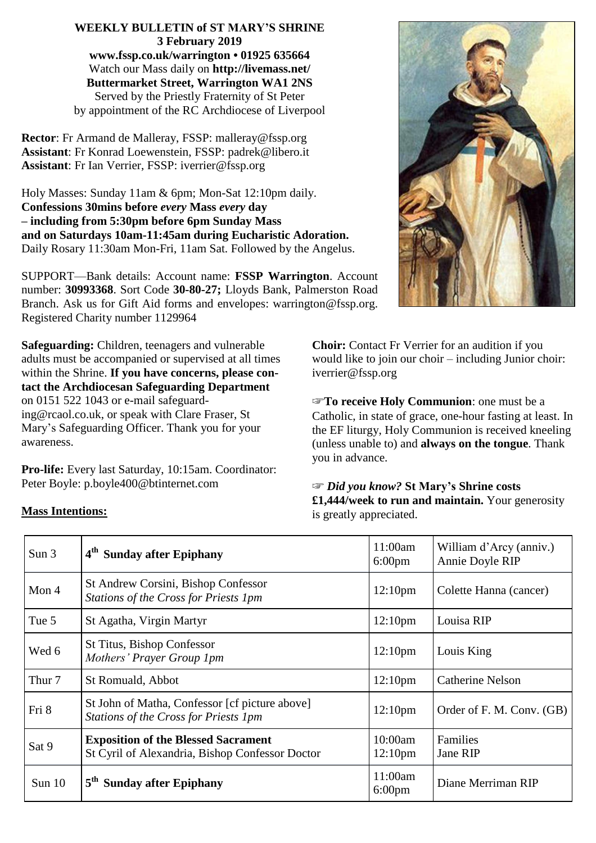**WEEKLY BULLETIN of ST MARY'S SHRINE 3 February 2019 www.fssp.co.uk/warrington • 01925 635664** Watch our Mass daily on **http://livemass.net/ Buttermarket Street, Warrington WA1 2NS** Served by the Priestly Fraternity of St Peter by appointment of the RC Archdiocese of Liverpool

**Rector**: Fr Armand de Malleray, FSSP: malleray@fssp.org **Assistant**: Fr Konrad Loewenstein, FSSP: padrek@libero.it **Assistant**: Fr Ian Verrier, FSSP: iverrier*@*fssp.org

Holy Masses: Sunday 11am & 6pm; Mon-Sat 12:10pm daily. **Confessions 30mins before** *every* **Mass** *every* **day – including from 5:30pm before 6pm Sunday Mass and on Saturdays 10am-11:45am during Eucharistic Adoration.** Daily Rosary 11:30am Mon-Fri, 11am Sat. Followed by the Angelus.

SUPPORT—Bank details: Account name: **FSSP Warrington**. Account number: **30993368**. Sort Code **30-80-27;** Lloyds Bank, Palmerston Road Branch. Ask us for Gift Aid forms and envelopes: warrington*@*fssp.org. Registered Charity number 1129964

**Safeguarding:** Children, teenagers and vulnerable adults must be accompanied or supervised at all times within the Shrine. **If you have concerns, please contact the Archdiocesan Safeguarding Department** on 0151 522 1043 or e-mail safeguarding@rcaol.co.uk, or speak with Clare Fraser, St Mary's Safeguarding Officer. Thank you for your awareness.

**Pro-life:** Every last Saturday, 10:15am. Coordinator: Peter Boyle: p.boyle400*@*btinternet.com

**Mass Intentions:**

**Choir:** Contact Fr Verrier for an audition if you would like to join our choir – including Junior choir: iverrier*@*fssp.org

☞**To receive Holy Communion**: one must be a Catholic, in state of grace, one-hour fasting at least. In the EF liturgy, Holy Communion is received kneeling (unless unable to) and **always on the tongue**. Thank you in advance.

☞ *Did you know?* **St Mary's Shrine costs £1,444/week to run and maintain.** Your generosity is greatly appreciated.

| Sun 3             | 4 <sup>th</sup> Sunday after Epiphany                                                         | 11:00am<br>$6:00 \text{pm}$    | William d'Arcy (anniv.)<br>Annie Doyle RIP |
|-------------------|-----------------------------------------------------------------------------------------------|--------------------------------|--------------------------------------------|
| Mon 4             | St Andrew Corsini, Bishop Confessor<br>Stations of the Cross for Priests 1pm                  | 12:10 <sub>pm</sub>            | Colette Hanna (cancer)                     |
| Tue 5             | St Agatha, Virgin Martyr                                                                      | 12:10 <sub>pm</sub>            | Louisa RIP                                 |
| Wed 6             | <b>St Titus, Bishop Confessor</b><br>Mothers' Prayer Group 1pm                                | 12:10 <sub>pm</sub>            | Louis King                                 |
| Thur <sub>7</sub> | St Romuald, Abbot                                                                             | 12:10 <sub>pm</sub>            | <b>Catherine Nelson</b>                    |
| Fri 8             | St John of Matha, Confessor [cf picture above]<br>Stations of the Cross for Priests 1pm       | 12:10 <sub>pm</sub>            | Order of F. M. Conv. (GB)                  |
| Sat 9             | <b>Exposition of the Blessed Sacrament</b><br>St Cyril of Alexandria, Bishop Confessor Doctor | 10:00am<br>12:10 <sub>pm</sub> | Families<br>Jane RIP                       |
| Sun 10            | 5 <sup>th</sup> Sunday after Epiphany                                                         | 11:00am<br>$6:00 \text{pm}$    | Diane Merriman RIP                         |